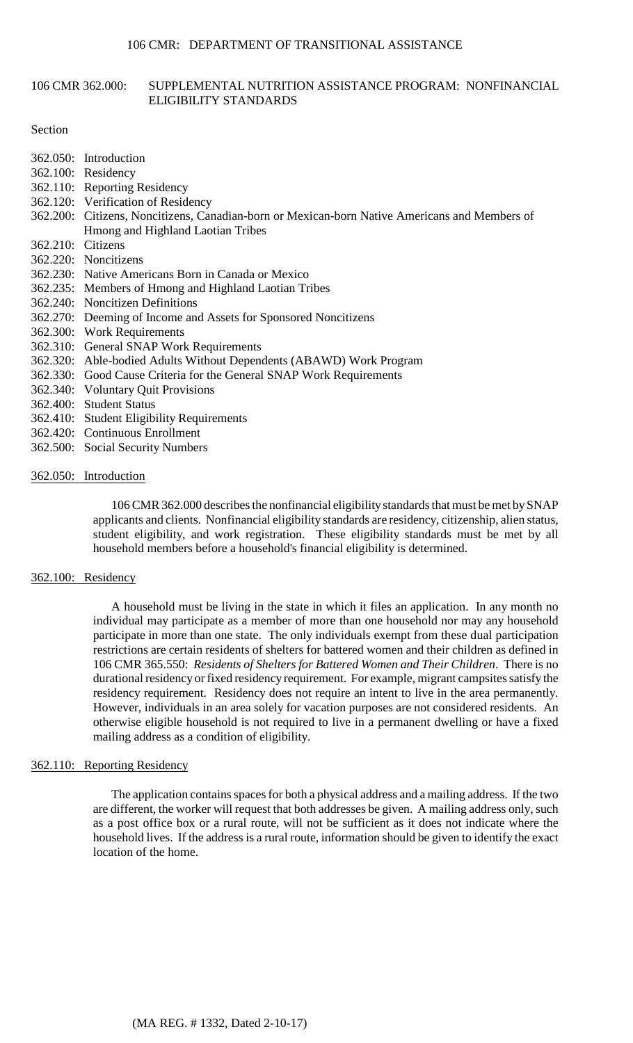# 106 CMR 362.000: SUPPLEMENTAL NUTRITION ASSISTANCE PROGRAM: NONFINANCIAL ELIGIBILITY STANDARDS

### Section

- 362.050: Introduction
- 362.100: Residency
- 362.110: Reporting Residency
- 362.120: Verification of Residency
- 362.200: Citizens, Noncitizens, Canadian-born or Mexican-born Native Americans and Members of Hmong and Highland Laotian Tribes
- 362.210: Citizens
- 362.220: Noncitizens
- 362.230: Native Americans Born in Canada or Mexico
- 362.235: Members of Hmong and Highland Laotian Tribes
- 362.240: Noncitizen Definitions
- 362.270: Deeming of Income and Assets for Sponsored Noncitizens
- 362.300: Work Requirements
- 362.310: General SNAP Work Requirements
- 362.320: Able-bodied Adults Without Dependents (ABAWD) Work Program
- 362.330: Good Cause Criteria for the General SNAP Work Requirements
- 362.340: Voluntary Quit Provisions
- 362.400: Student Status
- 362.410: Student Eligibility Requirements
- 362.420: Continuous Enrollment
- 362.500: Social Security Numbers

# 362.050: Introduction

106 CMR 362.000 describes the nonfinancial eligibilitystandards that must be met by SNAP applicants and clients. Nonfinancial eligibility standards are residency, citizenship, alien status, student eligibility, and work registration. These eligibility standards must be met by all household members before a household's financial eligibility is determined.

# 362.100: Residency

 participate in more than one state. The only individuals exempt from these dual participation restrictions are certain residents of shelters for battered women and their children as defined in A household must be living in the state in which it files an application. In any month no individual may participate as a member of more than one household nor may any household 106 CMR 365.550: *Residents of Shelters for Battered Women and Their Children*. There is no durational residency or fixed residency requirement. For example, migrant campsites satisfy the residency requirement. Residency does not require an intent to live in the area permanently. However, individuals in an area solely for vacation purposes are not considered residents. An otherwise eligible household is not required to live in a permanent dwelling or have a fixed mailing address as a condition of eligibility.

# 362.110: Reporting Residency

The application contains spaces for both a physical address and a mailing address. If the two are different, the worker will request that both addresses be given. A mailing address only, such as a post office box or a rural route, will not be sufficient as it does not indicate where the household lives. If the address is a rural route, information should be given to identify the exact location of the home.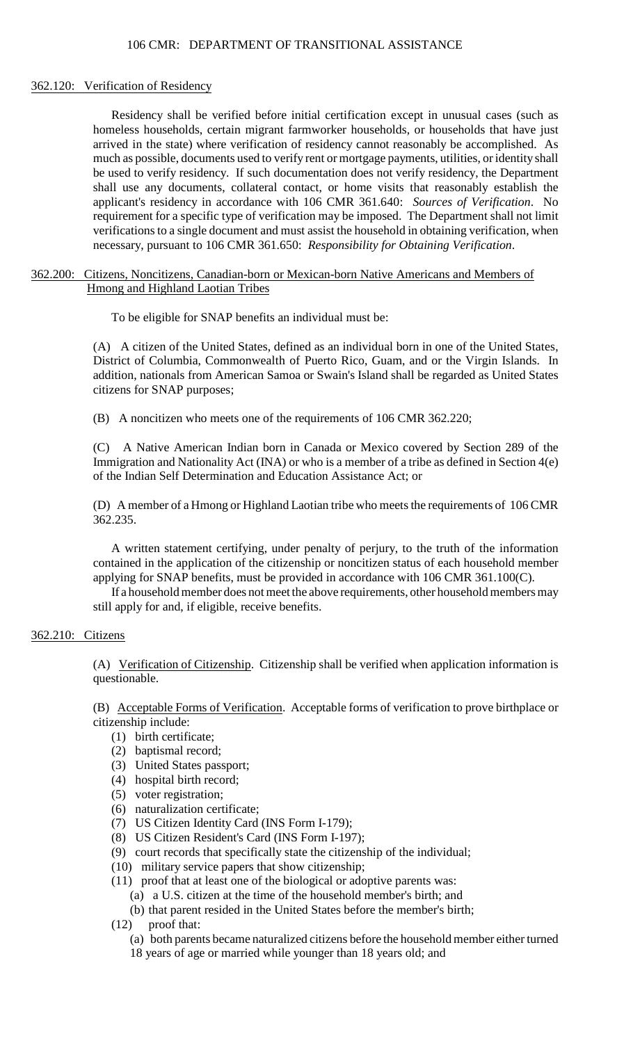# 362.120: Verification of Residency

 arrived in the state) where verification of residency cannot reasonably be accomplished. As applicant's residency in accordance with 106 CMR 361.640: *Sources of Verification*. No requirement for a specific type of verification may be imposed. The Department shall not limit Residency shall be verified before initial certification except in unusual cases (such as homeless households, certain migrant farmworker households, or households that have just much as possible, documents used to verify rent or mortgage payments, utilities, or identity shall be used to verify residency. If such documentation does not verify residency, the Department shall use any documents, collateral contact, or home visits that reasonably establish the verifications to a single document and must assist the household in obtaining verification, when necessary, pursuant to 106 CMR 361.650: *Responsibility for Obtaining Verification*.

# 362.200: Citizens, Noncitizens, Canadian-born or Mexican-born Native Americans and Members of Hmong and Highland Laotian Tribes

To be eligible for SNAP benefits an individual must be:

 District of Columbia, Commonwealth of Puerto Rico, Guam, and or the Virgin Islands. In (A) A citizen of the United States, defined as an individual born in one of the United States, addition, nationals from American Samoa or Swain's Island shall be regarded as United States citizens for SNAP purposes;

(B) A noncitizen who meets one of the requirements of 106 CMR 362.220;

(C) A Native American Indian born in Canada or Mexico covered by Section 289 of the Immigration and Nationality Act (INA) or who is a member of a tribe as defined in Section 4(e) of the Indian Self Determination and Education Assistance Act; or

(D) A member of a Hmong or Highland Laotian tribe who meets the requirements of 106 CMR 362.235.

A written statement certifying, under penalty of perjury, to the truth of the information contained in the application of the citizenship or noncitizen status of each household member applying for SNAP benefits, must be provided in accordance with 106 CMR 361.100(C).

If a household member does not meet the above requirements, other household members may still apply for and, if eligible, receive benefits.

# 362.210: Citizens

(A) Verification of Citizenship. Citizenship shall be verified when application information is questionable.

(B) Acceptable Forms of Verification. Acceptable forms of verification to prove birthplace or citizenship include:

- (1) birth certificate;
- (2) baptismal record;
- (3) United States passport;
- (4) hospital birth record;
- (5) voter registration;
- (6) naturalization certificate;
- (7) US Citizen Identity Card (INS Form I-179);
- (8) US Citizen Resident's Card (INS Form I-197);
- (9) court records that specifically state the citizenship of the individual;
- (10) military service papers that show citizenship;
- (11) proof that at least one of the biological or adoptive parents was:
	- (a) a U.S. citizen at the time of the household member's birth; and
	- (b) that parent resided in the United States before the member's birth;
- (12) proof that:
	- (a) both parents became naturalized citizens before the household member either turned
	- 18 years of age or married while younger than 18 years old; and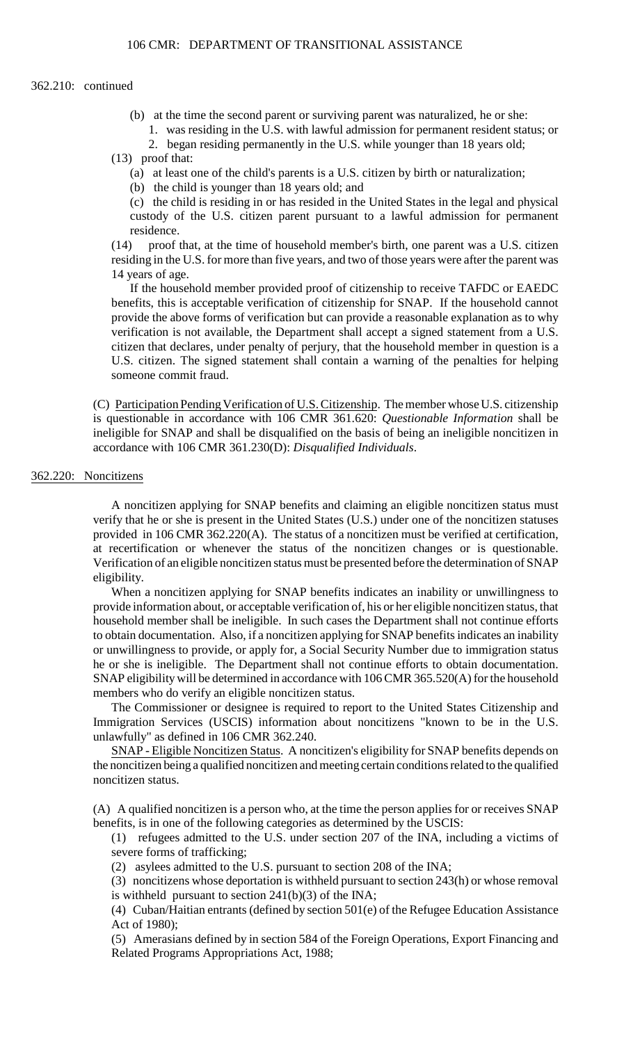### 362.210: continued

- (b) at the time the second parent or surviving parent was naturalized, he or she:
	- 1. was residing in the U.S. with lawful admission for permanent resident status; or
	- 2. began residing permanently in the U.S. while younger than 18 years old;

(13) proof that:

- (a) at least one of the child's parents is a U.S. citizen by birth or naturalization;
- (b) the child is younger than 18 years old; and

 (c) the child is residing in or has resided in the United States in the legal and physical custody of the U.S. citizen parent pursuant to a lawful admission for permanent residence.

(14) proof that, at the time of household member's birth, one parent was a U.S. citizen residing in the U.S. for more than five years, and two of those years were after the parent was 14 years of age.

 If the household member provided proof of citizenship to receive TAFDC or EAEDC U.S. citizen. The signed statement shall contain a warning of the penalties for helping benefits, this is acceptable verification of citizenship for SNAP. If the household cannot provide the above forms of verification but can provide a reasonable explanation as to why verification is not available, the Department shall accept a signed statement from a U.S. citizen that declares, under penalty of perjury, that the household member in question is a someone commit fraud.

(C) Participation Pending Verification of U.S. Citizenship. The member whose U.S. citizenship is questionable in accordance with 106 CMR 361.620: *Questionable Information* shall be ineligible for SNAP and shall be disqualified on the basis of being an ineligible noncitizen in accordance with 106 CMR 361.230(D): *Disqualified Individuals*.

# 362.220: Noncitizens

A noncitizen applying for SNAP benefits and claiming an eligible noncitizen status must verify that he or she is present in the United States (U.S.) under one of the noncitizen statuses provided in 106 CMR 362.220(A). The status of a noncitizen must be verified at certification, at recertification or whenever the status of the noncitizen changes or is questionable. Verification of an eligible noncitizen status must be presented before the determination of SNAP eligibility.

When a noncitizen applying for SNAP benefits indicates an inability or unwillingness to provide information about, or acceptable verification of, his or her eligible noncitizen status, that household member shall be ineligible. In such cases the Department shall not continue efforts to obtain documentation. Also, if a noncitizen applying for SNAP benefits indicates an inability or unwillingness to provide, or apply for, a Social Security Number due to immigration status he or she is ineligible. The Department shall not continue efforts to obtain documentation. SNAP eligibility will be determined in accordance with 106 CMR 365.520(A) for the household members who do verify an eligible noncitizen status.

The Commissioner or designee is required to report to the United States Citizenship and Immigration Services (USCIS) information about noncitizens "known to be in the U.S. unlawfully" as defined in 106 CMR 362.240.

SNAP - Eligible Noncitizen Status. A noncitizen's eligibility for SNAP benefits depends on the noncitizen being a qualified noncitizen and meeting certain conditions related to the qualified noncitizen status.

(A) A qualified noncitizen is a person who, at the time the person applies for or receives SNAP benefits, is in one of the following categories as determined by the USCIS:

 (1) refugees admitted to the U.S. under section 207 of the INA, including a victims of severe forms of trafficking;

(2) asylees admitted to the U.S. pursuant to section 208 of the INA;

(3) noncitizens whose deportation is withheld pursuant to section 243(h) or whose removal is withheld pursuant to section 241(b)(3) of the INA;

(4) Cuban/Haitian entrants (defined by section 501(e) of the Refugee Education Assistance Act of 1980);

(5) Amerasians defined by in section 584 of the Foreign Operations, Export Financing and Related Programs Appropriations Act, 1988;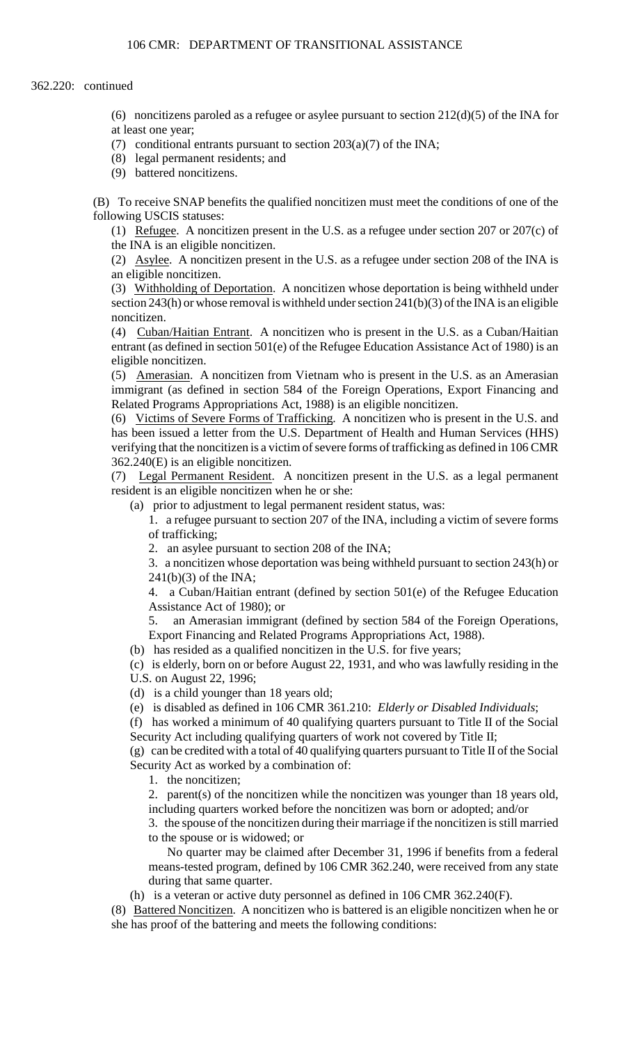(6) noncitizens paroled as a refugee or asylee pursuant to section  $212(d)(5)$  of the INA for at least one year;

- (7) conditional entrants pursuant to section  $203(a)(7)$  of the INA;
- (8) legal permanent residents; and
- (9) battered noncitizens.

(B) To receive SNAP benefits the qualified noncitizen must meet the conditions of one of the following USCIS statuses:

(1) Refugee. A noncitizen present in the U.S. as a refugee under section 207 or 207(c) of the INA is an eligible noncitizen.

(2) Asylee. A noncitizen present in the U.S. as a refugee under section 208 of the INA is an eligible noncitizen.

(3) Withholding of Deportation. A noncitizen whose deportation is being withheld under section  $243(h)$  or whose removal is withheld under section  $241(b)(3)$  of the INA is an eligible noncitizen.

(4) Cuban/Haitian Entrant. A noncitizen who is present in the U.S. as a Cuban/Haitian entrant (as defined in section 501(e) of the Refugee Education Assistance Act of 1980) is an eligible noncitizen.

 (5) Amerasian. A noncitizen from Vietnam who is present in the U.S. as an Amerasian immigrant (as defined in section 584 of the Foreign Operations, Export Financing and Related Programs Appropriations Act, 1988) is an eligible noncitizen.

 verifying that the noncitizen is a victim of severe forms of trafficking as defined in 106 CMR (6) Victims of Severe Forms of Trafficking. A noncitizen who is present in the U.S. and has been issued a letter from the U.S. Department of Health and Human Services (HHS) 362.240(E) is an eligible noncitizen.

 (7) Legal Permanent Resident. A noncitizen present in the U.S. as a legal permanent resident is an eligible noncitizen when he or she:

(a) prior to adjustment to legal permanent resident status, was:

 1. a refugee pursuant to section 207 of the INA, including a victim of severe forms of trafficking;

2. an asylee pursuant to section 208 of the INA;

3. a noncitizen whose deportation was being withheld pursuant to section 243(h) or 241(b)(3) of the INA;

4. a Cuban/Haitian entrant (defined by section 501(e) of the Refugee Education Assistance Act of 1980); or

5. 5. an Amerasian immigrant (defined by section 584 of the Foreign Operations, Export Financing and Related Programs Appropriations Act, 1988).

(b) has resided as a qualified noncitizen in the U.S. for five years;

(c) is elderly, born on or before August 22, 1931, and who was lawfully residing in the U.S. on August 22, 1996;

(d) is a child younger than 18 years old;

(e) is disabled as defined in 106 CMR 361.210: *Elderly or Disabled Individuals*;

(f) has worked a minimum of 40 qualifying quarters pursuant to Title II of the Social Security Act including qualifying quarters of work not covered by Title II;

 (g) can be credited with a total of 40 qualifying quarters pursuant to Title II of the Social Security Act as worked by a combination of:

1. the noncitizen;

2. parent(s) of the noncitizen while the noncitizen was younger than 18 years old, including quarters worked before the noncitizen was born or adopted; and/or

 3. the spouse of the noncitizen during their marriage if the noncitizen is still married to the spouse or is widowed; or

 No quarter may be claimed after December 31, 1996 if benefits from a federal means-tested program, defined by 106 CMR 362.240, were received from any state during that same quarter.

(h) is a veteran or active duty personnel as defined in 106 CMR 362.240(F).

(8) Battered Noncitizen. A noncitizen who is battered is an eligible noncitizen when he or she has proof of the battering and meets the following conditions: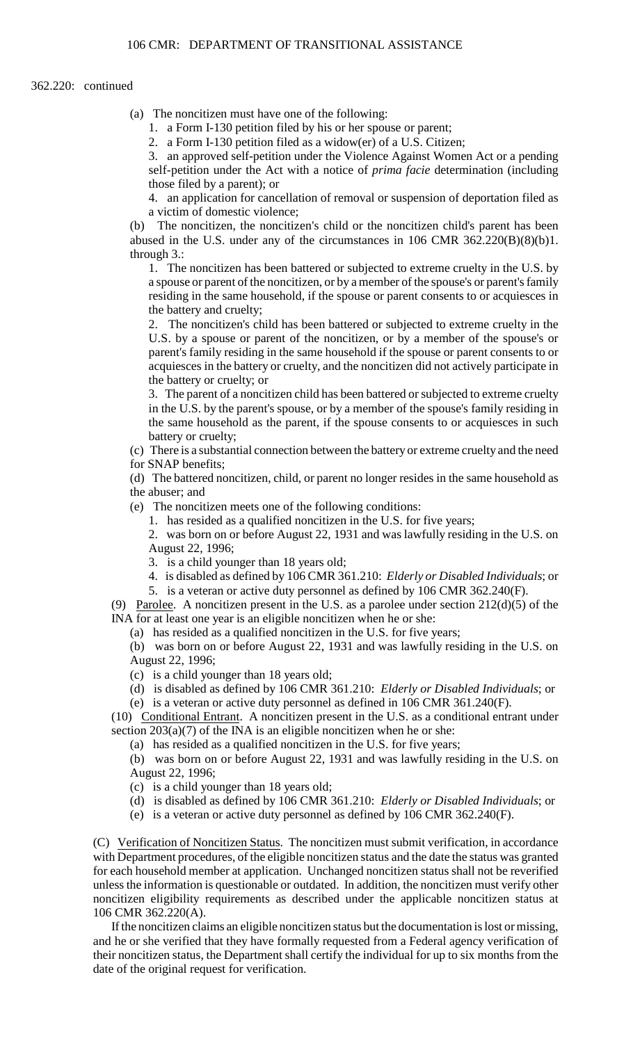#### 362.220: continued

- (a) The noncitizen must have one of the following:
	- 1. a Form I-130 petition filed by his or her spouse or parent;

2. a Form I-130 petition filed as a widow(er) of a U.S. Citizen;

3. an approved self-petition under the Violence Against Women Act or a pending self-petition under the Act with a notice of *prima facie* determination (including those filed by a parent); or

 4. an application for cancellation of removal or suspension of deportation filed as a victim of domestic violence;

(b) The noncitizen, the noncitizen's child or the noncitizen child's parent has been abused in the U.S. under any of the circumstances in  $106$  CMR  $362.220(B)(8)(b)1$ . through 3.:

 residing in the same household, if the spouse or parent consents to or acquiesces in 1. The noncitizen has been battered or subjected to extreme cruelty in the U.S. by a spouse or parent of the noncitizen, or by a member of the spouse's or parent's family the battery and cruelty;

 acquiesces in the battery or cruelty, and the noncitizen did not actively participate in 2. The noncitizen's child has been battered or subjected to extreme cruelty in the U.S. by a spouse or parent of the noncitizen, or by a member of the spouse's or parent's family residing in the same household if the spouse or parent consents to or the battery or cruelty; or

 in the U.S. by the parent's spouse, or by a member of the spouse's family residing in 3. The parent of a noncitizen child has been battered or subjected to extreme cruelty the same household as the parent, if the spouse consents to or acquiesces in such battery or cruelty;

(c) There is a substantial connection between the battery or extreme cruelty and the need for SNAP benefits;

(d) The battered noncitizen, child, or parent no longer resides in the same household as the abuser; and

(e) The noncitizen meets one of the following conditions:

1. has resided as a qualified noncitizen in the U.S. for five years;

2. was born on or before August 22, 1931 and was lawfully residing in the U.S. on August 22, 1996;

- 3. is a child younger than 18 years old;
- 4. is disabled as defined by 106 CMR 361.210: *Elderly or Disabled Individuals*; or 5. is a veteran or active duty personnel as defined by 106 CMR 362.240(F).

(9) Parolee. A noncitizen present in the U.S. as a parolee under section  $212(d)(5)$  of the INA for at least one year is an eligible noncitizen when he or she:

(a) has resided as a qualified noncitizen in the U.S. for five years;

 (b) was born on or before August 22, 1931 and was lawfully residing in the U.S. on August 22, 1996;

(c) is a child younger than 18 years old;

(d) is disabled as defined by 106 CMR 361.210: *Elderly or Disabled Individuals*; or (e) is a veteran or active duty personnel as defined in 106 CMR 361.240(F).

(10) Conditional Entrant. A noncitizen present in the U.S. as a conditional entrant under section  $203(a)(7)$  of the INA is an eligible noncitizen when he or she:

(a) has resided as a qualified noncitizen in the U.S. for five years;

 (b) was born on or before August 22, 1931 and was lawfully residing in the U.S. on August 22, 1996;

- (c) is a child younger than 18 years old;
- (d) is disabled as defined by 106 CMR 361.210: *Elderly or Disabled Individuals*; or

(e) is a veteran or active duty personnel as defined by 106 CMR 362.240(F).

(C) Verification of Noncitizen Status. The noncitizen must submit verification, in accordance with Department procedures, of the eligible noncitizen status and the date the status was granted for each household member at application. Unchanged noncitizen status shall not be reverified unless the information is questionable or outdated. In addition, the noncitizen must verify other noncitizen eligibility requirements as described under the applicable noncitizen status at 106 CMR 362.220(A).

 and he or she verified that they have formally requested from a Federal agency verification of If the noncitizen claims an eligible noncitizen status but the documentation is lost or missing, their noncitizen status, the Department shall certify the individual for up to six months from the date of the original request for verification.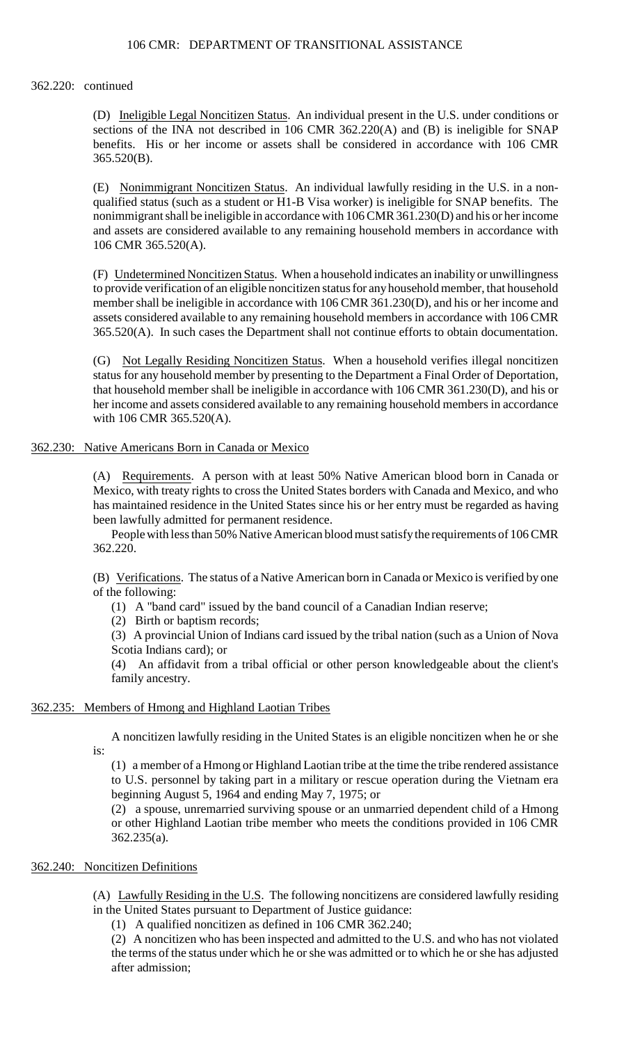362.220: continued

 sections of the INA not described in 106 CMR 362.220(A) and (B) is ineligible for SNAP (D) Ineligible Legal Noncitizen Status. An individual present in the U.S. under conditions or benefits. His or her income or assets shall be considered in accordance with 106 CMR 365.520(B).

 nonimmigrant shall be ineligible in accordance with 106 CMR 361.230(D) and his or her income (E) Nonimmigrant Noncitizen Status. An individual lawfully residing in the U.S. in a nonqualified status (such as a student or H1-B Visa worker) is ineligible for SNAP benefits. The and assets are considered available to any remaining household members in accordance with 106 CMR 365.520(A).

 to provide verification of an eligible noncitizen status for anyhousehold member, that household assets considered available to any remaining household members in accordance with 106 CMR (F) Undetermined Noncitizen Status. When a household indicates an inability or unwillingness member shall be ineligible in accordance with 106 CMR 361.230(D), and his or her income and 365.520(A). In such cases the Department shall not continue efforts to obtain documentation.

(G) Not Legally Residing Noncitizen Status. When a household verifies illegal noncitizen status for any household member by presenting to the Department a Final Order of Deportation, that household member shall be ineligible in accordance with 106 CMR 361.230(D), and his or her income and assets considered available to any remaining household members in accordance with 106 CMR 365.520(A).

# 362.230: Native Americans Born in Canada or Mexico

(A) Requirements. A person with at least 50% Native American blood born in Canada or Mexico, with treaty rights to cross the United States borders with Canada and Mexico, and who has maintained residence in the United States since his or her entry must be regarded as having been lawfully admitted for permanent residence.

People with less than 50% Native American blood must satisfy the requirements of 106 CMR 362.220.

(B) Verifications. The status of a Native American born in Canada or Mexico is verified by one of the following:

(1) A "band card" issued by the band council of a Canadian Indian reserve;

(2) Birth or baptism records;

(3) A provincial Union of Indians card issued by the tribal nation (such as a Union of Nova Scotia Indians card); or

(4) An affidavit from a tribal official or other person knowledgeable about the client's family ancestry.

# 362.235: Members of Hmong and Highland Laotian Tribes

 A noncitizen lawfully residing in the United States is an eligible noncitizen when he or she is:

 to U.S. personnel by taking part in a military or rescue operation during the Vietnam era (1) a member of a Hmong or Highland Laotian tribe at the time the tribe rendered assistance beginning August 5, 1964 and ending May 7, 1975; or

(2) a spouse, unremarried surviving spouse or an unmarried dependent child of a Hmong or other Highland Laotian tribe member who meets the conditions provided in 106 CMR 362.235(a).

# 362.240: Noncitizen Definitions

(A) Lawfully Residing in the U.S. The following noncitizens are considered lawfully residing in the United States pursuant to Department of Justice guidance:

(1) A qualified noncitizen as defined in 106 CMR 362.240;

(2) A noncitizen who has been inspected and admitted to the U.S. and who has not violated the terms of the status under which he or she was admitted or to which he or she has adjusted after admission;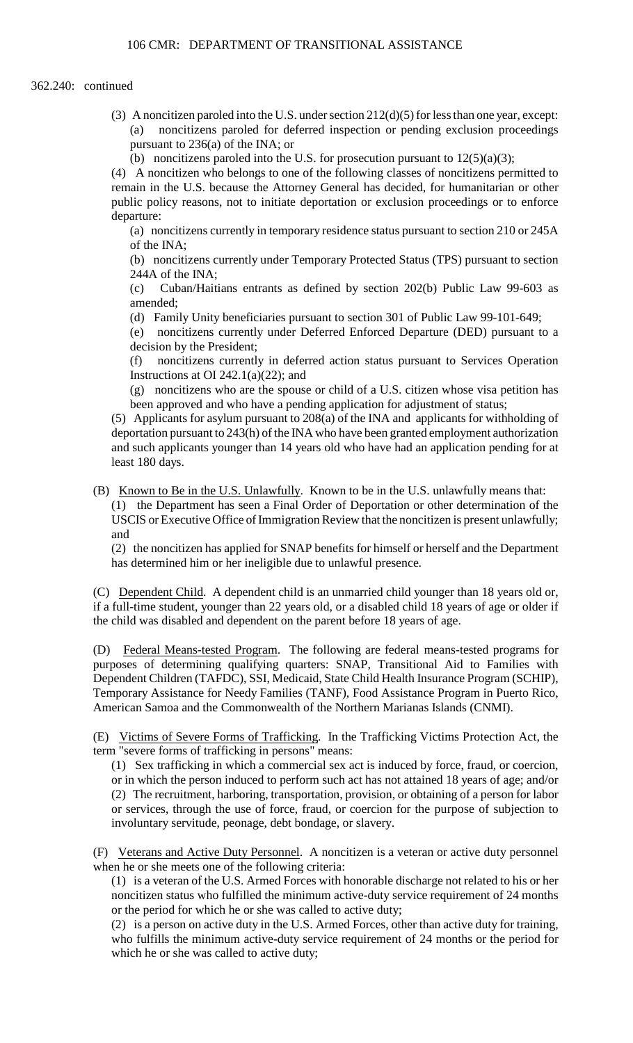- (3) A noncitizen paroled into the U.S. under section  $212(d)(5)$  for less than one year, except: (a) noncitizens paroled for deferred inspection or pending exclusion proceedings pursuant to 236(a) of the INA; or
	- (b) noncitizens paroled into the U.S. for prosecution pursuant to  $12(5)(a)(3)$ ;

(4) A noncitizen who belongs to one of the following classes of noncitizens permitted to remain in the U.S. because the Attorney General has decided, for humanitarian or other public policy reasons, not to initiate deportation or exclusion proceedings or to enforce departure:

(a) noncitizens currently in temporary residence status pursuant to section 210 or 245A of the INA;

(b) noncitizens currently under Temporary Protected Status (TPS) pursuant to section 244A of the INA;

 $(c)$ Cuban/Haitians entrants as defined by section 202(b) Public Law 99-603 as amended;

(d) Family Unity beneficiaries pursuant to section 301 of Public Law 99-101-649;

(e) noncitizens currently under Deferred Enforced Departure (DED) pursuant to a decision by the President;

(f) noncitizens currently in deferred action status pursuant to Services Operation Instructions at OI 242.1(a) $(22)$ ; and

(g) noncitizens who are the spouse or child of a U.S. citizen whose visa petition has been approved and who have a pending application for adjustment of status;

(5) Applicants for asylum pursuant to 208(a) of the INA and applicants for withholding of deportation pursuant to 243(h) of the INA who have been granted employment authorization and such applicants younger than 14 years old who have had an application pending for at least 180 days.

 USCIS or Executive Office of Immigration Review that the noncitizen is present unlawfully; (B) Known to Be in the U.S. Unlawfully. Known to be in the U.S. unlawfully means that: (1) the Department has seen a Final Order of Deportation or other determination of the and

(2) the noncitizen has applied for SNAP benefits for himself or herself and the Department has determined him or her ineligible due to unlawful presence.

 if a full-time student, younger than 22 years old, or a disabled child 18 years of age or older if (C) Dependent Child. A dependent child is an unmarried child younger than 18 years old or, the child was disabled and dependent on the parent before 18 years of age.

(D) Federal Means-tested Program. The following are federal means-tested programs for purposes of determining qualifying quarters: SNAP, Transitional Aid to Families with Dependent Children (TAFDC), SSI, Medicaid, State Child Health Insurance Program (SCHIP), Temporary Assistance for Needy Families (TANF), Food Assistance Program in Puerto Rico, American Samoa and the Commonwealth of the Northern Marianas Islands (CNMI).

(E) Victims of Severe Forms of Trafficking. In the Trafficking Victims Protection Act, the term "severe forms of trafficking in persons" means:

 (1) Sex trafficking in which a commercial sex act is induced by force, fraud, or coercion, (2) The recruitment, harboring, transportation, provision, or obtaining of a person for labor or in which the person induced to perform such act has not attained 18 years of age; and/or or services, through the use of force, fraud, or coercion for the purpose of subjection to involuntary servitude, peonage, debt bondage, or slavery.

 (F) Veterans and Active Duty Personnel. A noncitizen is a veteran or active duty personnel when he or she meets one of the following criteria:

(1) is a veteran of the U.S. Armed Forces with honorable discharge not related to his or her noncitizen status who fulfilled the minimum active-duty service requirement of 24 months or the period for which he or she was called to active duty;

 (2) is a person on active duty in the U.S. Armed Forces, other than active duty for training, who fulfills the minimum active-duty service requirement of 24 months or the period for which he or she was called to active duty;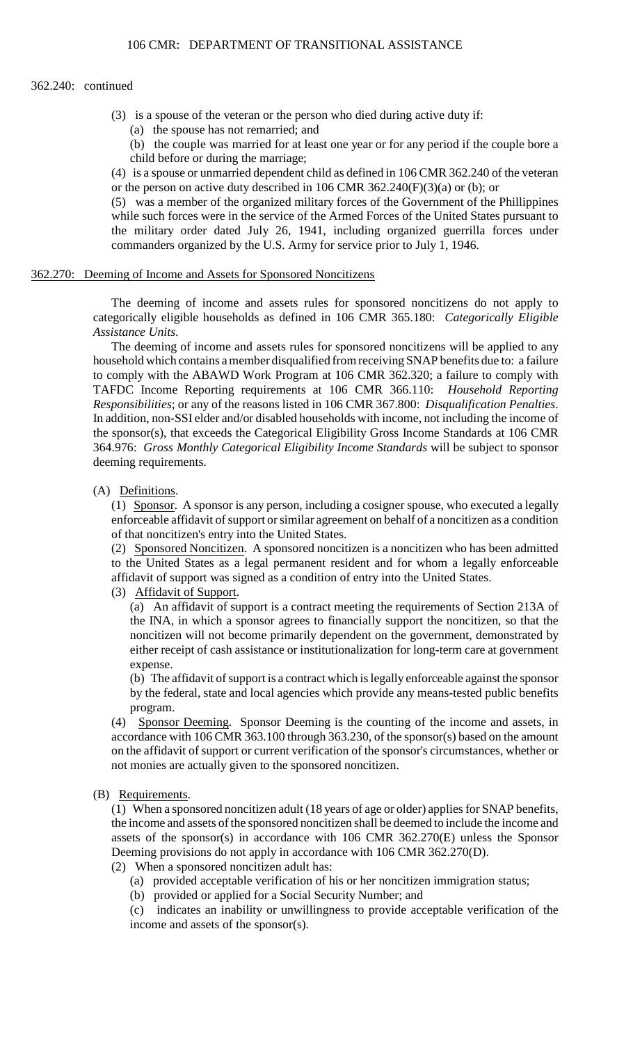### 362.240: continued

- (3) is a spouse of the veteran or the person who died during active duty if:
	- (a) the spouse has not remarried; and
	- (b) the couple was married for at least one year or for any period if the couple bore a child before or during the marriage;

(4) is a spouse or unmarried dependent child as defined in 106 CMR 362.240 of the veteran or the person on active duty described in 106 CMR 362.240(F)(3)(a) or (b); or

 while such forces were in the service of the Armed Forces of the United States pursuant to (5) was a member of the organized military forces of the Government of the Phillippines the military order dated July 26, 1941, including organized guerrilla forces under commanders organized by the U.S. Army for service prior to July 1, 1946.

#### 362.270: Deeming of Income and Assets for Sponsored Noncitizens

 The deeming of income and assets rules for sponsored noncitizens do not apply to categorically eligible households as defined in 106 CMR 365.180: *Categorically Eligible Assistance Units*.

 In addition, non-SSI elder and/or disabled households with income, not including the income of The deeming of income and assets rules for sponsored noncitizens will be applied to any household which contains a member disqualified from receiving SNAP benefits due to: a failure to comply with the ABAWD Work Program at 106 CMR 362.320; a failure to comply with TAFDC Income Reporting requirements at 106 CMR 366.110: *Household Reporting Responsibilities*; or any of the reasons listed in 106 CMR 367.800: *Disqualification Penalties*. the sponsor(s), that exceeds the Categorical Eligibility Gross Income Standards at 106 CMR 364.976: *Gross Monthly Categorical Eligibility Income Standards* will be subject to sponsor deeming requirements.

#### (A) Definitions.

(1) Sponsor. A sponsor is any person, including a cosigner spouse, who executed a legally enforceable affidavit of support or similar agreement on behalf of a noncitizen as a condition of that noncitizen's entry into the United States.

(2) Sponsored Noncitizen. A sponsored noncitizen is a noncitizen who has been admitted to the United States as a legal permanent resident and for whom a legally enforceable affidavit of support was signed as a condition of entry into the United States.

# (3) Affidavit of Support.

(a) An affidavit of support is a contract meeting the requirements of Section 213A of the INA, in which a sponsor agrees to financially support the noncitizen, so that the noncitizen will not become primarily dependent on the government, demonstrated by either receipt of cash assistance or institutionalization for long-term care at government expense.

 by the federal, state and local agencies which provide any means-tested public benefits (b) The affidavit of support is a contract which is legally enforceable against the sponsor program.

(4) Sponsor Deeming. Sponsor Deeming is the counting of the income and assets, in accordance with 106 CMR 363.100 through 363.230, of the sponsor(s) based on the amount on the affidavit of support or current verification of the sponsor's circumstances, whether or not monies are actually given to the sponsored noncitizen.

### (B) Requirements.

 (1) When a sponsored noncitizen adult (18 years of age or older) applies for SNAP benefits, the income and assets of the sponsored noncitizen shall be deemed to include the income and assets of the sponsor(s) in accordance with 106 CMR 362.270(E) unless the Sponsor Deeming provisions do not apply in accordance with 106 CMR 362.270(D).

- (2) When a sponsored noncitizen adult has:
	- (a) provided acceptable verification of his or her noncitizen immigration status;
	- (b) provided or applied for a Social Security Number; and

(c) indicates an inability or unwillingness to provide acceptable verification of the income and assets of the sponsor(s).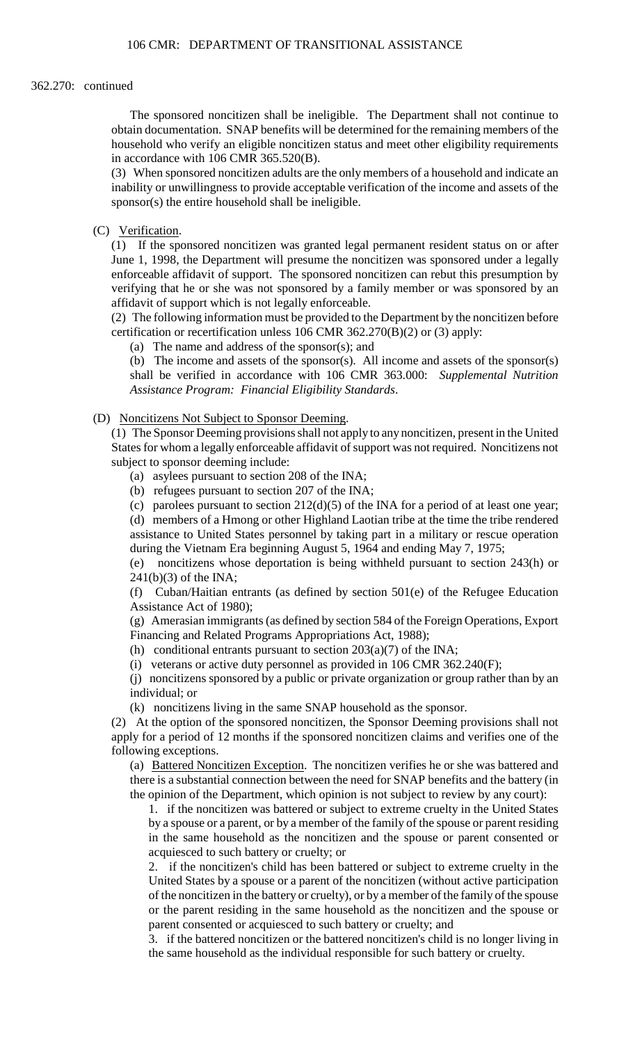### 362.270: continued

The sponsored noncitizen shall be ineligible. The Department shall not continue to obtain documentation. SNAP benefits will be determined for the remaining members of the household who verify an eligible noncitizen status and meet other eligibility requirements in accordance with 106 CMR 365.520(B).

(3) When sponsored noncitizen adults are the only members of a household and indicate an inability or unwillingness to provide acceptable verification of the income and assets of the sponsor(s) the entire household shall be ineligible.

(C) Verification.

(1) If the sponsored noncitizen was granted legal permanent resident status on or after June 1, 1998, the Department will presume the noncitizen was sponsored under a legally enforceable affidavit of support. The sponsored noncitizen can rebut this presumption by verifying that he or she was not sponsored by a family member or was sponsored by an affidavit of support which is not legally enforceable.

 (2) The following information must be provided to the Department by the noncitizen before certification or recertification unless 106 CMR 362.270(B)(2) or (3) apply:

(a) The name and address of the sponsor(s); and

(b) The income and assets of the sponsor(s). All income and assets of the sponsor(s) shall be verified in accordance with 106 CMR 363.000: *Supplemental Nutrition Assistance Program: Financial Eligibility Standards*.

(D) Noncitizens Not Subject to Sponsor Deeming.

 (1) The Sponsor Deeming provisions shall not apply to any noncitizen, present in the United States for whom a legally enforceable affidavit of support was not required. Noncitizens not subject to sponsor deeming include:

(a) asylees pursuant to section 208 of the INA;

(b) refugees pursuant to section 207 of the INA;

 assistance to United States personnel by taking part in a military or rescue operation (c) parolees pursuant to section  $212(d)(5)$  of the INA for a period of at least one year; (d) members of a Hmong or other Highland Laotian tribe at the time the tribe rendered during the Vietnam Era beginning August 5, 1964 and ending May 7, 1975;

(e) noncitizens whose deportation is being withheld pursuant to section 243(h) or  $241(b)(3)$  of the INA;

(f) Cuban/Haitian entrants (as defined by section 501(e) of the Refugee Education Assistance Act of 1980);

(g) Amerasian immigrants (as defined by section 584 of the Foreign Operations, Export Financing and Related Programs Appropriations Act, 1988);

(h) conditional entrants pursuant to section  $203(a)(7)$  of the INA;

(i) veterans or active duty personnel as provided in 106 CMR 362.240(F);

(j) noncitizens sponsored by a public or private organization or group rather than by an individual; or

(k) noncitizens living in the same SNAP household as the sponsor.

(2) At the option of the sponsored noncitizen, the Sponsor Deeming provisions shall not apply for a period of 12 months if the sponsored noncitizen claims and verifies one of the following exceptions.

(a) Battered Noncitizen Exception. The noncitizen verifies he or she was battered and there is a substantial connection between the need for SNAP benefits and the battery (in the opinion of the Department, which opinion is not subject to review by any court):

1. if the noncitizen was battered or subject to extreme cruelty in the United States by a spouse or a parent, or by a member of the family of the spouse or parent residing in the same household as the noncitizen and the spouse or parent consented or acquiesced to such battery or cruelty; or

 of the noncitizen in the battery or cruelty), or by a member of the family of the spouse 2. if the noncitizen's child has been battered or subject to extreme cruelty in the United States by a spouse or a parent of the noncitizen (without active participation or the parent residing in the same household as the noncitizen and the spouse or parent consented or acquiesced to such battery or cruelty; and

 3. if the battered noncitizen or the battered noncitizen's child is no longer living in the same household as the individual responsible for such battery or cruelty.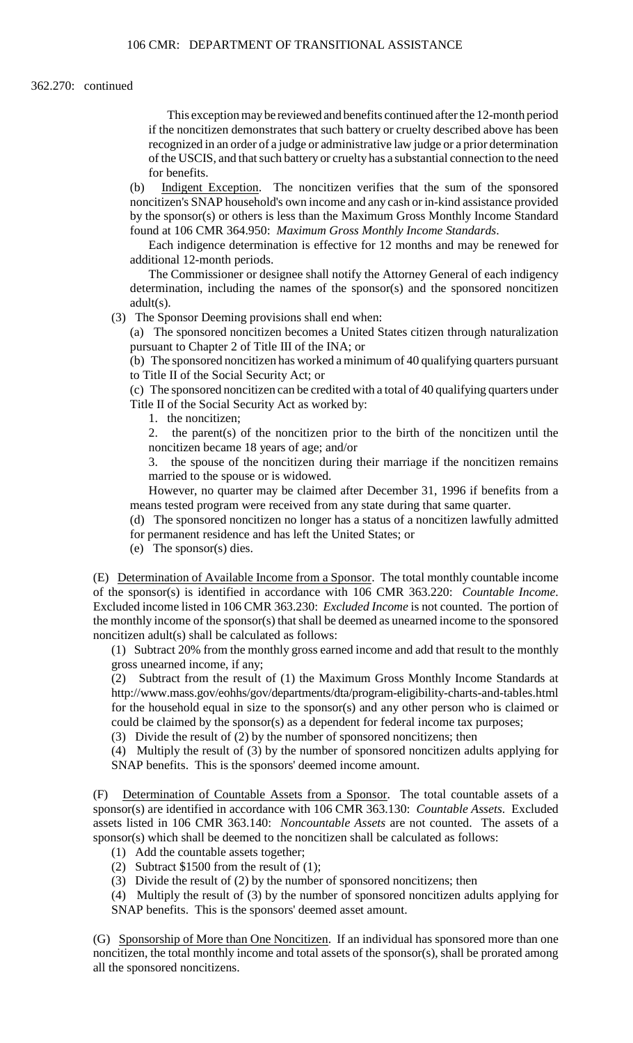#### 362.270: continued

 if the noncitizen demonstrates that such battery or cruelty described above has been This exception may be reviewed and benefits continued after the 12-month period recognized in an order of a judge or administrative law judge or a prior determination of the USCIS, and that such battery or cruelty has a substantial connection to the need for benefits.

(b) Indigent Exception. The noncitizen verifies that the sum of the sponsored noncitizen's SNAP household's own income and any cash or in-kind assistance provided by the sponsor(s) or others is less than the Maximum Gross Monthly Income Standard found at 106 CMR 364.950: *Maximum Gross Monthly Income Standards*.

Each indigence determination is effective for 12 months and may be renewed for additional 12-month periods.

The Commissioner or designee shall notify the Attorney General of each indigency determination, including the names of the sponsor(s) and the sponsored noncitizen adult(s).

(3) The Sponsor Deeming provisions shall end when:

(a) The sponsored noncitizen becomes a United States citizen through naturalization pursuant to Chapter 2 of Title III of the INA; or

(b) The sponsored noncitizen has worked a minimum of 40 qualifying quarters pursuant to Title II of the Social Security Act; or

(c) The sponsored noncitizen can be credited with a total of 40 qualifying quarters under Title II of the Social Security Act as worked by:

1. the noncitizen;

2. the parent(s) of the noncitizen prior to the birth of the noncitizen until the noncitizen became 18 years of age; and/or

3. the spouse of the noncitizen during their marriage if the noncitizen remains married to the spouse or is widowed.

 However, no quarter may be claimed after December 31, 1996 if benefits from a means tested program were received from any state during that same quarter.

(d) The sponsored noncitizen no longer has a status of a noncitizen lawfully admitted for permanent residence and has left the United States; or

(e) The sponsor(s) dies.

 (E) Determination of Available Income from a Sponsor. The total monthly countable income of the sponsor(s) is identified in accordance with 106 CMR 363.220: *Countable Income*. Excluded income listed in 106 CMR 363.230: *Excluded Income* is not counted. The portion of the monthly income of the sponsor(s) that shall be deemed as unearned income to the sponsored noncitizen adult(s) shall be calculated as follows:

 (1) Subtract 20% from the monthly gross earned income and add that result to the monthly gross unearned income, if any;

(2) Subtract from the result of (1) the Maximum Gross Monthly Income Standards at http://www.mass.gov/eohhs/gov/departments/dta/program-eligibility-charts-and-tables.html for the household equal in size to the sponsor(s) and any other person who is claimed or could be claimed by the sponsor(s) as a dependent for federal income tax purposes;

(3) Divide the result of (2) by the number of sponsored noncitizens; then

(4) Multiply the result of (3) by the number of sponsored noncitizen adults applying for SNAP benefits. This is the sponsors' deemed income amount.

 sponsor(s) are identified in accordance with 106 CMR 363.130: *Countable Assets*. Excluded (F) Determination of Countable Assets from a Sponsor. The total countable assets of a assets listed in 106 CMR 363.140: *Noncountable Assets* are not counted. The assets of a sponsor(s) which shall be deemed to the noncitizen shall be calculated as follows:

- (1) Add the countable assets together;
- (2) Subtract \$1500 from the result of (1);
- (3) Divide the result of (2) by the number of sponsored noncitizens; then

(4) Multiply the result of (3) by the number of sponsored noncitizen adults applying for SNAP benefits. This is the sponsors' deemed asset amount.

(G) Sponsorship of More than One Noncitizen. If an individual has sponsored more than one noncitizen, the total monthly income and total assets of the sponsor(s), shall be prorated among all the sponsored noncitizens.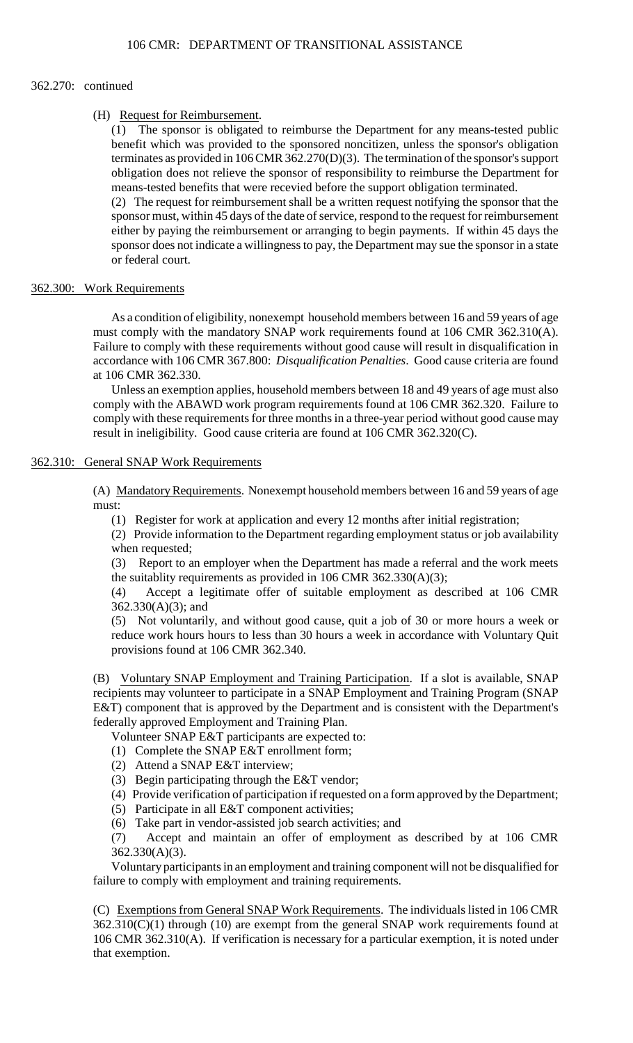#### 362.270: continued

## (H) Request for Reimbursement.

(1) The sponsor is obligated to reimburse the Department for any means-tested public benefit which was provided to the sponsored noncitizen, unless the sponsor's obligation terminates as provided in 106 CMR 362.270(D)(3). The termination of the sponsor's support obligation does not relieve the sponsor of responsibility to reimburse the Department for means-tested benefits that were recevied before the support obligation terminated.

(2) The request for reimbursement shall be a written request notifying the sponsor that the sponsor must, within 45 days of the date of service, respond to the request for reimbursement either by paying the reimbursement or arranging to begin payments. If within 45 days the sponsor does not indicate a willingness to pay, the Department may sue the sponsor in a state or federal court.

# 362.300: Work Requirements

 As a condition of eligibility, nonexempt household members between 16 and 59 years of age accordance with 106 CMR 367.800: *Disqualification Penalties*. Good cause criteria are found must comply with the mandatory SNAP work requirements found at 106 CMR 362.310(A). Failure to comply with these requirements without good cause will result in disqualification in at 106 CMR 362.330.

 Unless an exemption applies, household members between 18 and 49 years of age must also comply with the ABAWD work program requirements found at 106 CMR 362.320. Failure to comply with these requirements for three months in a three-year period without good cause may result in ineligibility. Good cause criteria are found at 106 CMR 362.320(C).

# 362.310: General SNAP Work Requirements

(A) Mandatory Requirements. Nonexempt household members between 16 and 59 years of age must:

(1) Register for work at application and every 12 months after initial registration;

 (2) Provide information to the Department regarding employment status or job availability when requested;

 $(3)$ Report to an employer when the Department has made a referral and the work meets the suitablity requirements as provided in 106 CMR 362.330(A)(3);

(4) Accept a legitimate offer of suitable employment as described at 106 CMR 362.330(A)(3); and

 (5) Not voluntarily, and without good cause, quit a job of 30 or more hours a week or reduce work hours hours to less than 30 hours a week in accordance with Voluntary Quit provisions found at 106 CMR 362.340.

(B) Voluntary SNAP Employment and Training Participation. If a slot is available, SNAP E&T) component that is approved by the Department and is consistent with the Department's recipients may volunteer to participate in a SNAP Employment and Training Program (SNAP federally approved Employment and Training Plan.

Volunteer SNAP E&T participants are expected to:

- (1) Complete the SNAP E&T enrollment form;
- (2) Attend a SNAP E&T interview;
- (3) Begin participating through the E&T vendor;
- (4) Provide verification of participation if requested on a form approved by the Department;
- (5) Participate in all E&T component activities;

(6) Take part in vendor-assisted job search activities; and

(7) Accept and maintain an offer of employment as described by at 106 CMR 362.330(A)(3).

Voluntary participants in an employment and training component will not be disqualified for failure to comply with employment and training requirements.

(C) Exemptions from General SNAP Work Requirements. The individuals listed in 106 CMR  $362.310(C)(1)$  through (10) are exempt from the general SNAP work requirements found at 106 CMR 362.310(A). If verification is necessary for a particular exemption, it is noted under that exemption.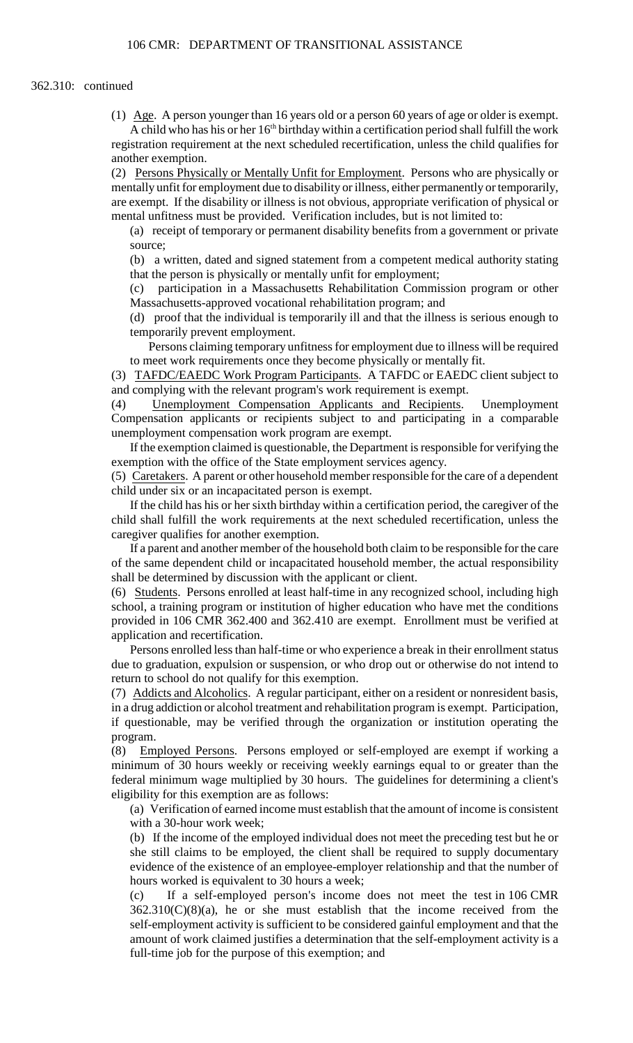(1) Age. A person younger than 16 years old or a person 60 years of age or older is exempt. A child who has his or her  $16<sup>th</sup>$  birthday within a certification period shall fulfill the work registration requirement at the next scheduled recertification, unless the child qualifies for another exemption.

(2) Persons Physically or Mentally Unfit for Employment. Persons who are physically or mentally unfit for employment due to disability or illness, either permanently or temporarily, are exempt. If the disability or illness is not obvious, appropriate verification of physical or mental unfitness must be provided. Verification includes, but is not limited to:

(a) receipt of temporary or permanent disability benefits from a government or private source;

(b) a written, dated and signed statement from a competent medical authority stating that the person is physically or mentally unfit for employment;

(c) participation in a Massachusetts Rehabilitation Commission program or other Massachusetts-approved vocational rehabilitation program; and

 (d) proof that the individual is temporarily ill and that the illness is serious enough to temporarily prevent employment.

Persons claiming temporary unfitness for employment due to illness will be required to meet work requirements once they become physically or mentally fit.

(3) TAFDC/EAEDC Work Program Participants. A TAFDC or EAEDC client subject to and complying with the relevant program's work requirement is exempt.

(4) Unemployment Compensation Applicants and Recipients. Unemployment Compensation applicants or recipients subject to and participating in a comparable unemployment compensation work program are exempt.

If the exemption claimed is questionable, the Department is responsible for verifying the exemption with the office of the State employment services agency.

 (5) Caretakers. A parent or other household member responsible for the care of a dependent child under six or an incapacitated person is exempt.

If the child has his or her sixth birthday within a certification period, the caregiver of the child shall fulfill the work requirements at the next scheduled recertification, unless the caregiver qualifies for another exemption.

If a parent and another member of the household both claim to be responsible for the care of the same dependent child or incapacitated household member, the actual responsibility shall be determined by discussion with the applicant or client.

(6) Students. Persons enrolled at least half-time in any recognized school, including high school, a training program or institution of higher education who have met the conditions provided in 106 CMR 362.400 and 362.410 are exempt. Enrollment must be verified at application and recertification.

Persons enrolled less than half-time or who experience a break in their enrollment status due to graduation, expulsion or suspension, or who drop out or otherwise do not intend to return to school do not qualify for this exemption.

 (7) Addicts and Alcoholics. A regular participant, either on a resident or nonresident basis, in a drug addiction or alcohol treatment and rehabilitation program is exempt. Participation, if questionable, may be verified through the organization or institution operating the program.

 federal minimum wage multiplied by 30 hours. The guidelines for determining a client's (8) Employed Persons. Persons employed or self-employed are exempt if working a minimum of 30 hours weekly or receiving weekly earnings equal to or greater than the eligibility for this exemption are as follows:

 (a) Verification of earned income must establish that the amount of income is consistent with a 30-hour work week;

(b) If the income of the employed individual does not meet the preceding test but he or she still claims to be employed, the client shall be required to supply documentary evidence of the existence of an employee-employer relationship and that the number of hours worked is equivalent to 30 hours a week;

 $(c)$ If a self-employed person's income does not meet the test in 106 CMR  $362.310(C)(8)(a)$ , he or she must establish that the income received from the self-employment activity is sufficient to be considered gainful employment and that the amount of work claimed justifies a determination that the self-employment activity is a full-time job for the purpose of this exemption; and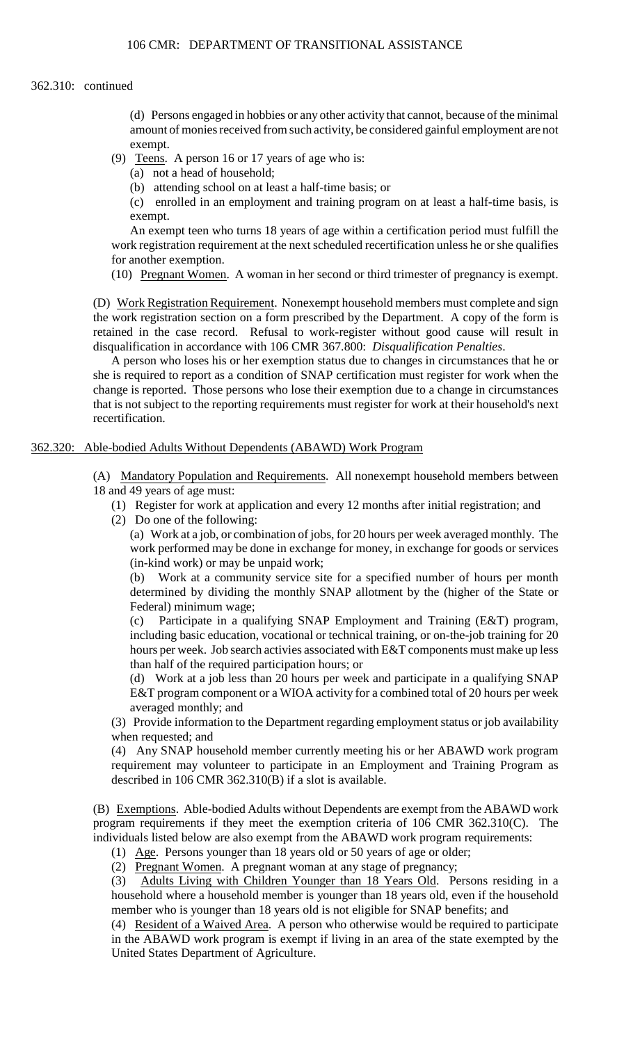### 362.310: continued

(d) Persons engaged in hobbies or any other activity that cannot, because of the minimal amount of monies received from such activity, be considered gainful employment are not exempt.

- (9) Teens. A person 16 or 17 years of age who is:
	- (a) not a head of household;

(b) attending school on at least a half-time basis; or

(c) enrolled in an employment and training program on at least a half-time basis, is exempt.

An exempt teen who turns 18 years of age within a certification period must fulfill the work registration requirement at the next scheduled recertification unless he or she qualifies for another exemption.

(10) Pregnant Women. A woman in her second or third trimester of pregnancy is exempt.

(D) Work Registration Requirement. Nonexempt household members must complete and sign the work registration section on a form prescribed by the Department. A copy of the form is retained in the case record. Refusal to work-register without good cause will result in disqualification in accordance with 106 CMR 367.800: *Disqualification Penalties*.

 that is not subject to the reporting requirements must register for work at their household's next A person who loses his or her exemption status due to changes in circumstances that he or she is required to report as a condition of SNAP certification must register for work when the change is reported. Those persons who lose their exemption due to a change in circumstances recertification.

# 362.320: Able-bodied Adults Without Dependents (ABAWD) Work Program

(A) Mandatory Population and Requirements. All nonexempt household members between 18 and 49 years of age must:

- (1) Register for work at application and every 12 months after initial registration; and
- (2) Do one of the following:

 (a) Work at a job, or combination of jobs, for 20 hours per week averaged monthly. The work performed may be done in exchange for money, in exchange for goods or services (in-kind work) or may be unpaid work;

 determined by dividing the monthly SNAP allotment by the (higher of the State or (b) Work at a community service site for a specified number of hours per month Federal) minimum wage;

(c) Participate in a qualifying SNAP Employment and Training (E&T) program, including basic education, vocational or technical training, or on-the-job training for 20 hours per week. Job search activies associated with E&T components must make up less than half of the required participation hours; or

 (d) Work at a job less than 20 hours per week and participate in a qualifying SNAP E&T program component or a WIOA activity for a combined total of 20 hours per week averaged monthly; and

 (3) Provide information to the Department regarding employment status or job availability when requested; and

 (4) Any SNAP household member currently meeting his or her ABAWD work program requirement may volunteer to participate in an Employment and Training Program as described in 106 CMR 362.310(B) if a slot is available.

(B) Exemptions. Able-bodied Adults without Dependents are exempt from the ABAWD work program requirements if they meet the exemption criteria of 106 CMR 362.310(C). The individuals listed below are also exempt from the ABAWD work program requirements:

(1) Age. Persons younger than 18 years old or 50 years of age or older;

(2) Pregnant Women. A pregnant woman at any stage of pregnancy;

(3) Adults Living with Children Younger than 18 Years Old. Persons residing in a household where a household member is younger than 18 years old, even if the household member who is younger than 18 years old is not eligible for SNAP benefits; and

(4) Resident of a Waived Area. A person who otherwise would be required to participate in the ABAWD work program is exempt if living in an area of the state exempted by the United States Department of Agriculture.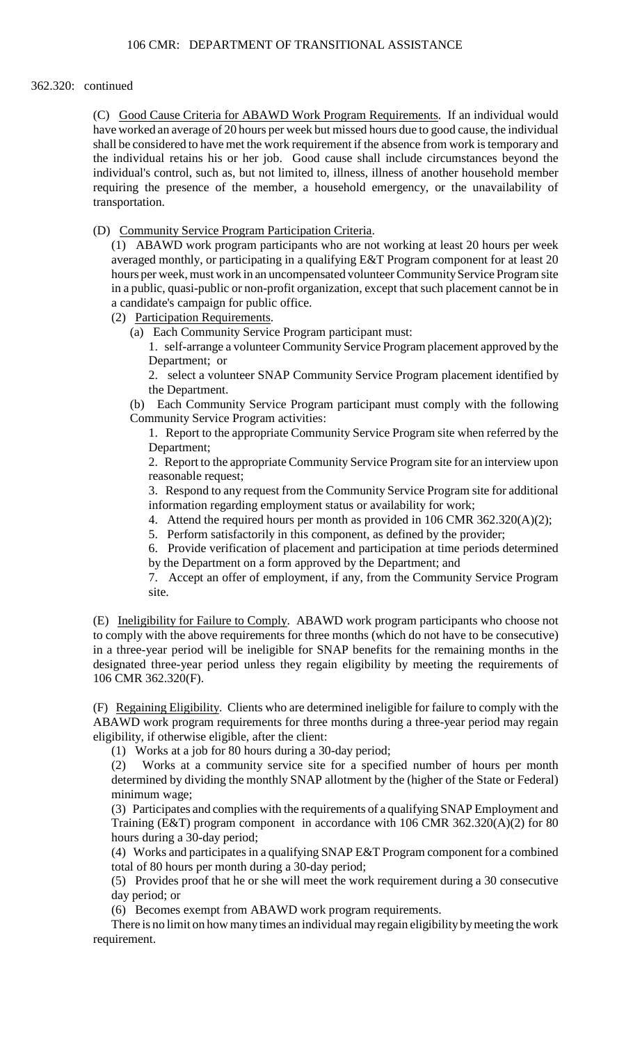# 362.320: continued

 individual's control, such as, but not limited to, illness, illness of another household member requiring the presence of the member, a household emergency, or the unavailability of (C) Good Cause Criteria for ABAWD Work Program Requirements. If an individual would have worked an average of 20 hours per week but missed hours due to good cause, the individual shall be considered to have met the work requirement if the absence from work is temporary and the individual retains his or her job. Good cause shall include circumstances beyond the transportation.

(D) Community Service Program Participation Criteria.

 in a public, quasi-public or non-profit organization, except that such placement cannot be in (1) ABAWD work program participants who are not working at least 20 hours per week averaged monthly, or participating in a qualifying E&T Program component for at least 20 hours per week, must work in an uncompensated volunteer Community Service Program site a candidate's campaign for public office.

- (2) Participation Requirements.
	- (a) Each Community Service Program participant must:

1. self-arrange a volunteer Community Service Program placement approved by the Department; or

2. select a volunteer SNAP Community Service Program placement identified by the Department.

(b) Each Community Service Program participant must comply with the following Community Service Program activities:

 1. Report to the appropriate Community Service Program site when referred by the Department;

 2. Report to the appropriate Community Service Program site for an interview upon reasonable request;

3. Respond to any request from the Community Service Program site for additional information regarding employment status or availability for work;

- 4. Attend the required hours per month as provided in 106 CMR 362.320(A)(2);
- 5. Perform satisfactorily in this component, as defined by the provider;

6. Provide verification of placement and participation at time periods determined by the Department on a form approved by the Department; and

7. Accept an offer of employment, if any, from the Community Service Program site.

(E) Ineligibility for Failure to Comply. ABAWD work program participants who choose not to comply with the above requirements for three months (which do not have to be consecutive) in a three-year period will be ineligible for SNAP benefits for the remaining months in the designated three-year period unless they regain eligibility by meeting the requirements of 106 CMR 362.320(F).

(F) Regaining Eligibility. Clients who are determined ineligible for failure to comply with the ABAWD work program requirements for three months during a three-year period may regain eligibility, if otherwise eligible, after the client:

(1) Works at a job for 80 hours during a 30-day period;

 determined by dividing the monthly SNAP allotment by the (higher of the State or Federal) (2) Works at a community service site for a specified number of hours per month minimum wage;

(3) Participates and complies with the requirements of a qualifying SNAP Employment and Training (E&T) program component in accordance with 106 CMR 362.320(A)(2) for 80 hours during a 30-day period;

(4) Works and participates in a qualifying SNAP E&T Program component for a combined total of 80 hours per month during a 30-day period;

 (5) Provides proof that he or she will meet the work requirement during a 30 consecutive day period; or

(6) Becomes exempt from ABAWD work program requirements.

There is no limit on how many times an individual may regain eligibility by meeting the work requirement.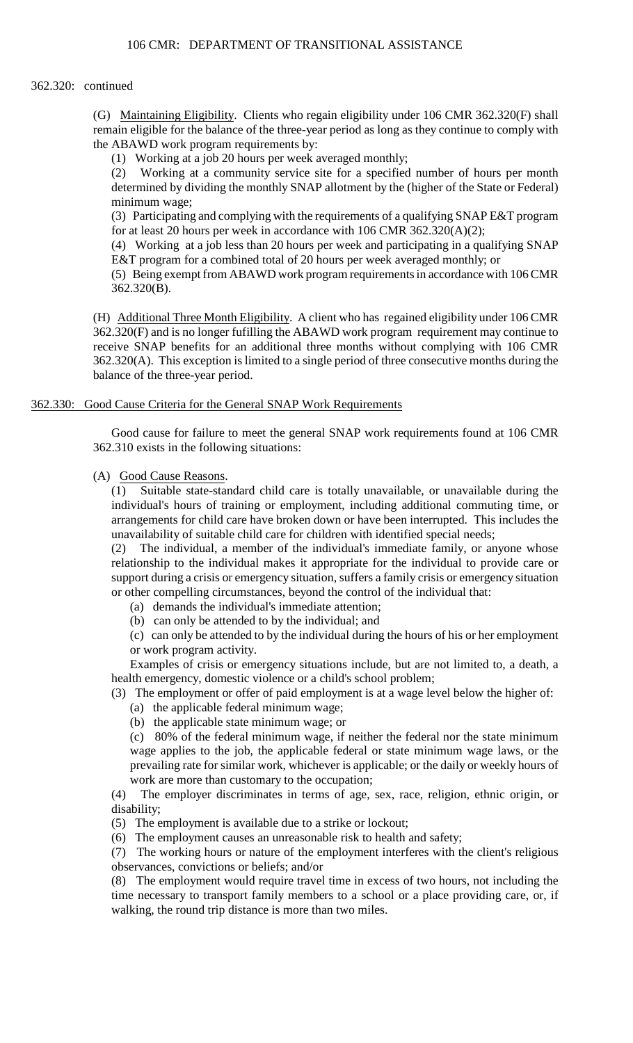# 362.320: continued

(G) Maintaining Eligibility. Clients who regain eligibility under 106 CMR 362.320(F) shall remain eligible for the balance of the three-year period as long as they continue to comply with the ABAWD work program requirements by:

(1) Working at a job 20 hours per week averaged monthly;

 determined by dividing the monthly SNAP allotment by the (higher of the State or Federal) (2) Working at a community service site for a specified number of hours per month minimum wage;

(3) Participating and complying with the requirements of a qualifying SNAP E&T program for at least 20 hours per week in accordance with 106 CMR 362.320(A)(2);

(4) Working at a job less than 20 hours per week and participating in a qualifying SNAP E&T program for a combined total of 20 hours per week averaged monthly; or

 (5) Being exempt from ABAWD work program requirements in accordance with 106 CMR 362.320(B).

(H) Additional Three Month Eligibility. A client who has regained eligibility under 106 CMR 362.320(F) and is no longer fufilling the ABAWD work program requirement may continue to receive SNAP benefits for an additional three months without complying with 106 CMR 362.320(A). This exception is limited to a single period of three consecutive months during the balance of the three-year period.

# 362.330: Good Cause Criteria for the General SNAP Work Requirements

 Good cause for failure to meet the general SNAP work requirements found at 106 CMR 362.310 exists in the following situations:

# (A) Good Cause Reasons.

(1) Suitable state-standard child care is totally unavailable, or unavailable during the individual's hours of training or employment, including additional commuting time, or arrangements for child care have broken down or have been interrupted. This includes the unavailability of suitable child care for children with identified special needs;

(2) The individual, a member of the individual's immediate family, or anyone whose relationship to the individual makes it appropriate for the individual to provide care or support during a crisis or emergency situation, suffers a family crisis or emergency situation or other compelling circumstances, beyond the control of the individual that:

- (a) demands the individual's immediate attention;
- (b) can only be attended to by the individual; and

(c) can only be attended to by the individual during the hours of his or her employment or work program activity.

Examples of crisis or emergency situations include, but are not limited to, a death, a health emergency, domestic violence or a child's school problem;

(3) The employment or offer of paid employment is at a wage level below the higher of:

- (a) the applicable federal minimum wage;
- (b) the applicable state minimum wage; or

 (c) 80% of the federal minimum wage, if neither the federal nor the state minimum wage applies to the job, the applicable federal or state minimum wage laws, or the prevailing rate for similar work, whichever is applicable; or the daily or weekly hours of work are more than customary to the occupation;

(4) The employer discriminates in terms of age, sex, race, religion, ethnic origin, or disability;

(5) The employment is available due to a strike or lockout;

(6) The employment causes an unreasonable risk to health and safety;

(7) The working hours or nature of the employment interferes with the client's religious observances, convictions or beliefs; and/or

(8) The employment would require travel time in excess of two hours, not including the time necessary to transport family members to a school or a place providing care, or, if walking, the round trip distance is more than two miles.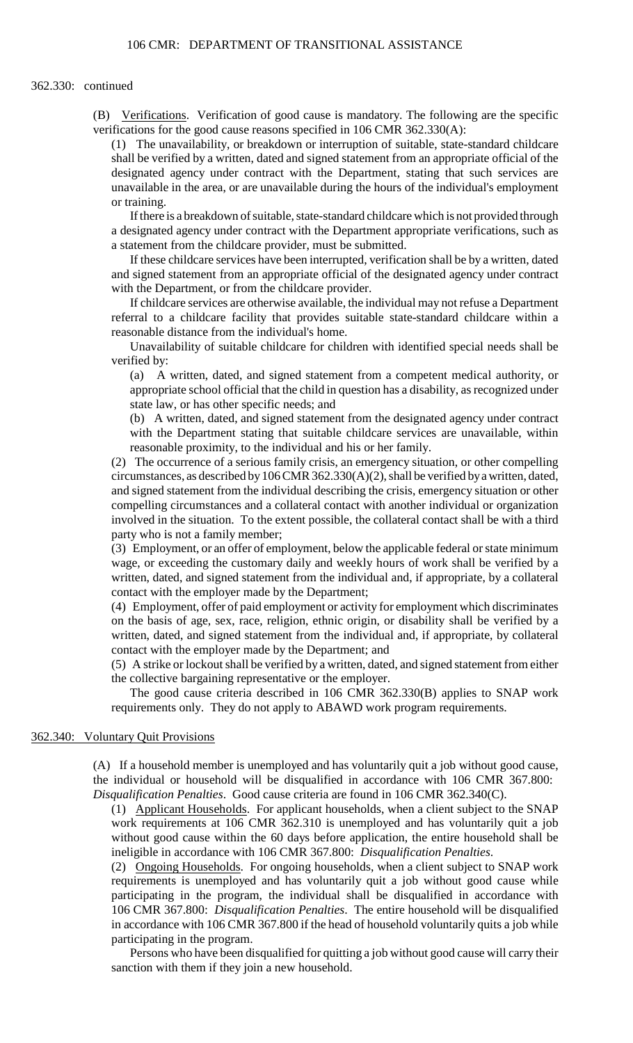### 362.330: continued

(B) Verifications. Verification of good cause is mandatory. The following are the specific verifications for the good cause reasons specified in 106 CMR 362.330(A):

 unavailable in the area, or are unavailable during the hours of the individual's employment (1) The unavailability, or breakdown or interruption of suitable, state-standard childcare shall be verified by a written, dated and signed statement from an appropriate official of the designated agency under contract with the Department, stating that such services are or training.

If there is a breakdown of suitable, state-standard childcare which is not provided through a designated agency under contract with the Department appropriate verifications, such as a statement from the childcare provider, must be submitted.

If these childcare services have been interrupted, verification shall be by a written, dated and signed statement from an appropriate official of the designated agency under contract with the Department, or from the childcare provider.

If childcare services are otherwise available, the individual may not refuse a Department referral to a childcare facility that provides suitable state-standard childcare within a reasonable distance from the individual's home.

Unavailability of suitable childcare for children with identified special needs shall be verified by:

(a) A written, dated, and signed statement from a competent medical authority, or appropriate school official that the child in question has a disability, as recognized under state law, or has other specific needs; and

(b) A written, dated, and signed statement from the designated agency under contract with the Department stating that suitable childcare services are unavailable, within reasonable proximity, to the individual and his or her family.

(2) The occurrence of a serious family crisis, an emergency situation, or other compelling circumstances, as described by 106 CMR 362.330(A)(2), shall be verified by a written, dated, and signed statement from the individual describing the crisis, emergency situation or other compelling circumstances and a collateral contact with another individual or organization involved in the situation. To the extent possible, the collateral contact shall be with a third party who is not a family member;

(3) Employment, or an offer of employment, below the applicable federal or state minimum wage, or exceeding the customary daily and weekly hours of work shall be verified by a written, dated, and signed statement from the individual and, if appropriate, by a collateral contact with the employer made by the Department;

 on the basis of age, sex, race, religion, ethnic origin, or disability shall be verified by a (4) Employment, offer of paid employment or activity for employment which discriminates written, dated, and signed statement from the individual and, if appropriate, by collateral contact with the employer made by the Department; and

(5) A strike or lockout shall be verified by a written, dated, and signed statement from either the collective bargaining representative or the employer.

The good cause criteria described in 106 CMR 362.330(B) applies to SNAP work requirements only. They do not apply to ABAWD work program requirements.

# 362.340: Voluntary Quit Provisions

(A) If a household member is unemployed and has voluntarily quit a job without good cause, the individual or household will be disqualified in accordance with 106 CMR 367.800: *Disqualification Penalties*. Good cause criteria are found in 106 CMR 362.340(C).

(1) Applicant Households. For applicant households, when a client subject to the SNAP work requirements at 106 CMR 362.310 is unemployed and has voluntarily quit a job without good cause within the 60 days before application, the entire household shall be ineligible in accordance with 106 CMR 367.800: *Disqualification Penalties*.

 requirements is unemployed and has voluntarily quit a job without good cause while in accordance with 106 CMR 367.800 if the head of household voluntarily quits a job while (2) Ongoing Households. For ongoing households, when a client subject to SNAP work participating in the program, the individual shall be disqualified in accordance with 106 CMR 367.800: *Disqualification Penalties*. The entire household will be disqualified participating in the program.

 Persons who have been disqualified for quitting a job without good cause will carry their sanction with them if they join a new household.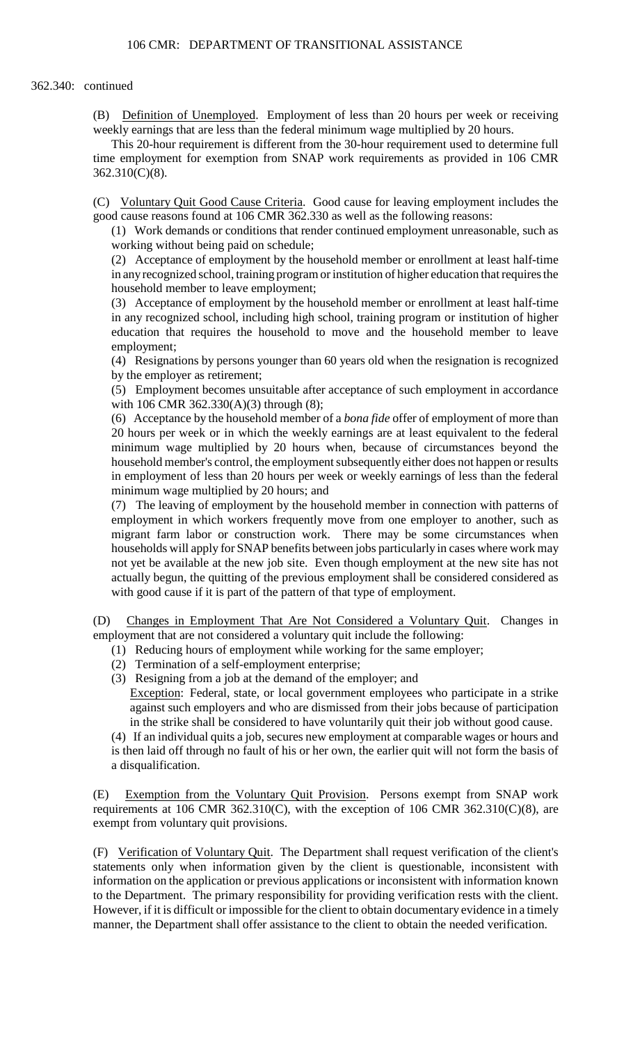### 362.340: continued

 (B) Definition of Unemployed. Employment of less than 20 hours per week or receiving weekly earnings that are less than the federal minimum wage multiplied by 20 hours.

This 20-hour requirement is different from the 30-hour requirement used to determine full time employment for exemption from SNAP work requirements as provided in 106 CMR 362.310(C)(8).

(C) Voluntary Quit Good Cause Criteria. Good cause for leaving employment includes the good cause reasons found at 106 CMR 362.330 as well as the following reasons:

(1) Work demands or conditions that render continued employment unreasonable, such as working without being paid on schedule;

(2) Acceptance of employment by the household member or enrollment at least half-time in any recognized school, training program or institution of higher education that requires the household member to leave employment;

(3) Acceptance of employment by the household member or enrollment at least half-time in any recognized school, including high school, training program or institution of higher education that requires the household to move and the household member to leave employment;

(4) Resignations by persons younger than 60 years old when the resignation is recognized by the employer as retirement;

(5) Employment becomes unsuitable after acceptance of such employment in accordance with 106 CMR 362.330(A)(3) through (8);

 20 hours per week or in which the weekly earnings are at least equivalent to the federal household member's control, the employment subsequently either does not happen or results (6) Acceptance by the household member of a *bona fide* offer of employment of more than minimum wage multiplied by 20 hours when, because of circumstances beyond the in employment of less than 20 hours per week or weekly earnings of less than the federal minimum wage multiplied by 20 hours; and

(7) The leaving of employment by the household member in connection with patterns of employment in which workers frequently move from one employer to another, such as migrant farm labor or construction work. There may be some circumstances when households will apply for SNAP benefits between jobs particularly in cases where work may not yet be available at the new job site. Even though employment at the new site has not actually begun, the quitting of the previous employment shall be considered considered as with good cause if it is part of the pattern of that type of employment.

(D) Changes in Employment That Are Not Considered a Voluntary Quit. Changes in employment that are not considered a voluntary quit include the following:

- (1) Reducing hours of employment while working for the same employer;
- (2) Termination of a self-employment enterprise;
- (3) Resigning from a job at the demand of the employer; and Exception: Federal, state, or local government employees who participate in a strike against such employers and who are dismissed from their jobs because of participation in the strike shall be considered to have voluntarily quit their job without good cause.

(4) If an individual quits a job, secures new employment at comparable wages or hours and is then laid off through no fault of his or her own, the earlier quit will not form the basis of a disqualification.

(E) Exemption from the Voluntary Quit Provision. Persons exempt from SNAP work requirements at 106 CMR 362.310(C), with the exception of 106 CMR 362.310(C)(8), are exempt from voluntary quit provisions.

 However, if it is difficult or impossible for the client to obtain documentary evidence in a timely (F) Verification of Voluntary Quit. The Department shall request verification of the client's statements only when information given by the client is questionable, inconsistent with information on the application or previous applications or inconsistent with information known to the Department. The primary responsibility for providing verification rests with the client. manner, the Department shall offer assistance to the client to obtain the needed verification.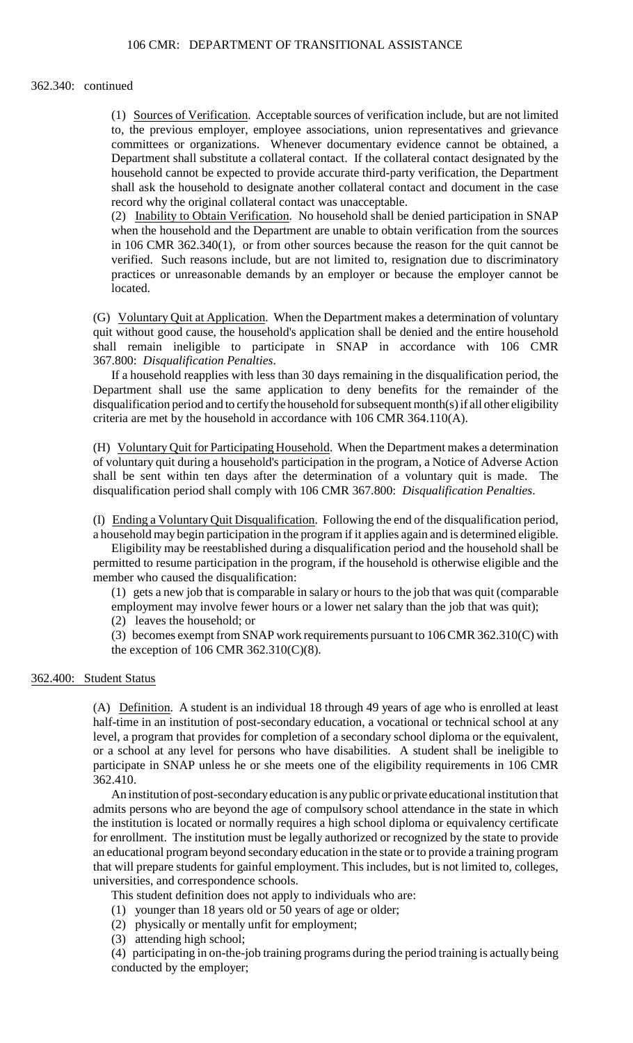### 362.340: continued

(1) Sources of Verification. Acceptable sources of verification include, but are not limited to, the previous employer, employee associations, union representatives and grievance committees or organizations. Whenever documentary evidence cannot be obtained, a Department shall substitute a collateral contact. If the collateral contact designated by the household cannot be expected to provide accurate third-party verification, the Department shall ask the household to designate another collateral contact and document in the case record why the original collateral contact was unacceptable.

 verified. Such reasons include, but are not limited to, resignation due to discriminatory (2) Inability to Obtain Verification. No household shall be denied participation in SNAP when the household and the Department are unable to obtain verification from the sources in 106 CMR 362.340(1), or from other sources because the reason for the quit cannot be practices or unreasonable demands by an employer or because the employer cannot be located.

(G) Voluntary Quit at Application. When the Department makes a determination of voluntary quit without good cause, the household's application shall be denied and the entire household shall remain ineligible to participate in SNAP in accordance with 106 CMR 367.800: *Disqualification Penalties*.

If a household reapplies with less than 30 days remaining in the disqualification period, the Department shall use the same application to deny benefits for the remainder of the disqualification period and to certify the household for subsequent month(s) if all other eligibility criteria are met by the household in accordance with 106 CMR 364.110(A).

 shall be sent within ten days after the determination of a voluntary quit is made. The (H) Voluntary Quit for Participating Household. When the Department makes a determination of voluntary quit during a household's participation in the program, a Notice of Adverse Action disqualification period shall comply with 106 CMR 367.800: *Disqualification Penalties*.

(I) Ending a Voluntary Quit Disqualification. Following the end of the disqualification period, a household may begin participation in the program if it applies again and is determined eligible.

Eligibility may be reestablished during a disqualification period and the household shall be permitted to resume participation in the program, if the household is otherwise eligible and the member who caused the disqualification:

(1) gets a new job that is comparable in salary or hours to the job that was quit (comparable

employment may involve fewer hours or a lower net salary than the job that was quit);

(2) leaves the household; or

(3) becomes exempt from SNAP work requirements pursuant to 106 CMR 362.310(C) with the exception of 106 CMR 362.310(C)(8).

# 362.400: Student Status

 (A) Definition. A student is an individual 18 through 49 years of age who is enrolled at least half-time in an institution of post-secondary education, a vocational or technical school at any level, a program that provides for completion of a secondary school diploma or the equivalent, or a school at any level for persons who have disabilities. A student shall be ineligible to participate in SNAP unless he or she meets one of the eligibility requirements in 106 CMR 362.410.

An institution of post-secondary education is any public or private educational institution that admits persons who are beyond the age of compulsory school attendance in the state in which the institution is located or normally requires a high school diploma or equivalency certificate for enrollment. The institution must be legally authorized or recognized by the state to provide an educational program beyond secondary education in the state or to provide a training program that will prepare students for gainful employment. This includes, but is not limited to, colleges, universities, and correspondence schools.

This student definition does not apply to individuals who are:

- (1) younger than 18 years old or 50 years of age or older;
- (2) physically or mentally unfit for employment;
- (3) attending high school;

(4) participating in on-the-job training programs during the period training is actually being conducted by the employer;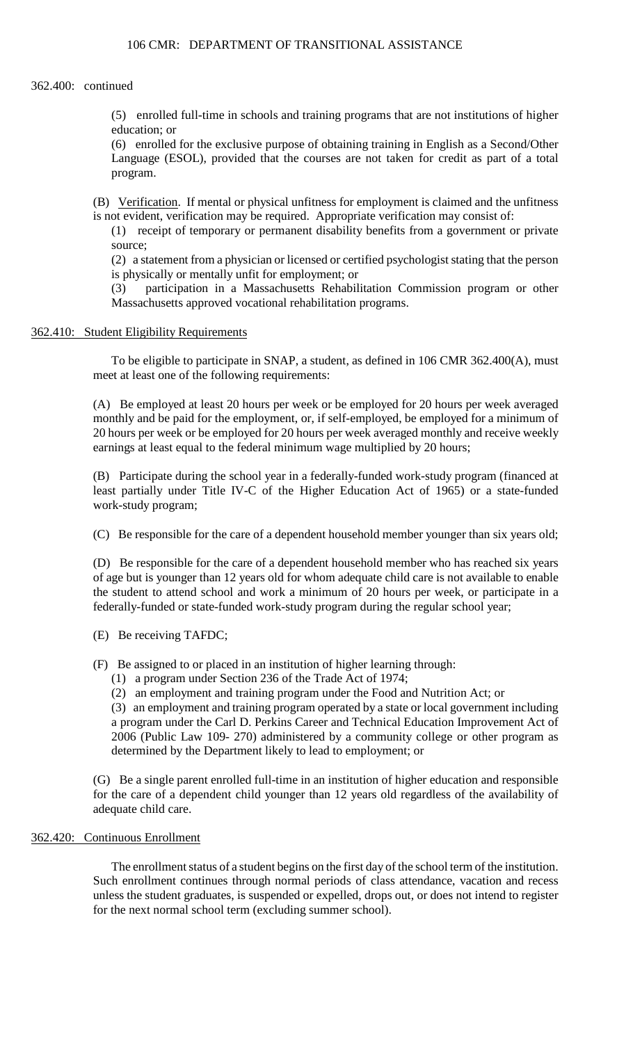# 362.400: continued

(5) enrolled full-time in schools and training programs that are not institutions of higher education; or

 (6) enrolled for the exclusive purpose of obtaining training in English as a Second/Other Language (ESOL), provided that the courses are not taken for credit as part of a total program.

(B) Verification. If mental or physical unfitness for employment is claimed and the unfitness is not evident, verification may be required. Appropriate verification may consist of:

(1) receipt of temporary or permanent disability benefits from a government or private source;

 (2) a statement from a physician or licensed or certified psychologist stating that the person is physically or mentally unfit for employment; or

(3) participation in a Massachusetts Rehabilitation Commission program or other Massachusetts approved vocational rehabilitation programs.

# 362.410: Student Eligibility Requirements

 To be eligible to participate in SNAP, a student, as defined in 106 CMR 362.400(A), must meet at least one of the following requirements:

 20 hours per week or be employed for 20 hours per week averaged monthly and receive weekly (A) Be employed at least 20 hours per week or be employed for 20 hours per week averaged monthly and be paid for the employment, or, if self-employed, be employed for a minimum of earnings at least equal to the federal minimum wage multiplied by 20 hours;

(B) Participate during the school year in a federally-funded work-study program (financed at least partially under Title IV-C of the Higher Education Act of 1965) or a state-funded work-study program;

(C) Be responsible for the care of a dependent household member younger than six years old;

 of age but is younger than 12 years old for whom adequate child care is not available to enable (D) Be responsible for the care of a dependent household member who has reached six years the student to attend school and work a minimum of 20 hours per week, or participate in a federally-funded or state-funded work-study program during the regular school year;

(E) Be receiving TAFDC;

(F) Be assigned to or placed in an institution of higher learning through:

- (1) a program under Section 236 of the Trade Act of 1974;
- (2) an employment and training program under the Food and Nutrition Act; or

 2006 (Public Law 109- 270) administered by a community college or other program as (3) an employment and training program operated by a state or local government including a program under the Carl D. Perkins Career and Technical Education Improvement Act of determined by the Department likely to lead to employment; or

 (G) Be a single parent enrolled full-time in an institution of higher education and responsible for the care of a dependent child younger than 12 years old regardless of the availability of adequate child care.

# 362.420: Continuous Enrollment

The enrollment status of a student begins on the first day of the school term of the institution. Such enrollment continues through normal periods of class attendance, vacation and recess unless the student graduates, is suspended or expelled, drops out, or does not intend to register for the next normal school term (excluding summer school).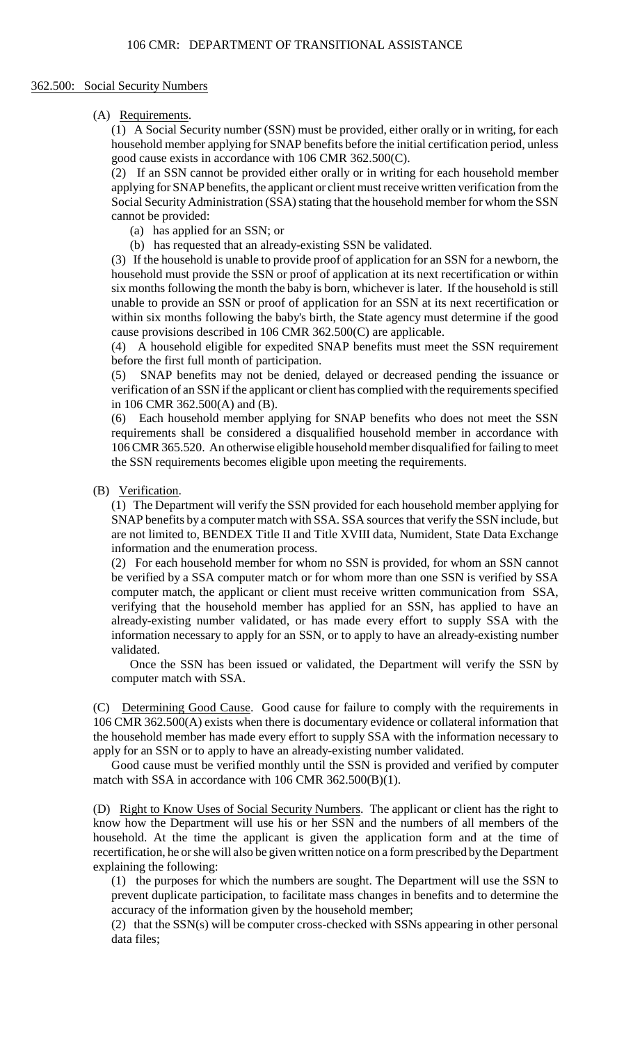## 362.500: Social Security Numbers

# (A) Requirements.

(1) A Social Security number (SSN) must be provided, either orally or in writing, for each household member applying for SNAP benefits before the initial certification period, unless good cause exists in accordance with 106 CMR 362.500(C).

(2) If an SSN cannot be provided either orally or in writing for each household member applying for SNAP benefits, the applicant or client must receive written verification from the Social Security Administration (SSA) stating that the household member for whom the SSN cannot be provided:

- (a) has applied for an SSN; or
- (b) has requested that an already-existing SSN be validated.

 six months following the month the baby is born, whichever is later. If the household is still (3) If the household is unable to provide proof of application for an SSN for a newborn, the household must provide the SSN or proof of application at its next recertification or within unable to provide an SSN or proof of application for an SSN at its next recertification or within six months following the baby's birth, the State agency must determine if the good cause provisions described in 106 CMR 362.500(C) are applicable.

(4) A household eligible for expedited SNAP benefits must meet the SSN requirement before the first full month of participation.

(5) SNAP benefits may not be denied, delayed or decreased pending the issuance or verification of an SSN if the applicant or client has complied with the requirements specified in 106 CMR 362.500(A) and (B).

(6) Each household member applying for SNAP benefits who does not meet the SSN requirements shall be considered a disqualified household member in accordance with 106 CMR 365.520. An otherwise eligible household member disqualified for failing to meet the SSN requirements becomes eligible upon meeting the requirements.

(B) Verification.

 are not limited to, BENDEX Title II and Title XVIII data, Numident, State Data Exchange (1) The Department will verify the SSN provided for each household member applying for SNAP benefits by a computer match with SSA. SSA sources that verify the SSN include, but information and the enumeration process.

 verifying that the household member has applied for an SSN, has applied to have an (2) For each household member for whom no SSN is provided, for whom an SSN cannot be verified by a SSA computer match or for whom more than one SSN is verified by SSA computer match, the applicant or client must receive written communication from SSA, already-existing number validated, or has made every effort to supply SSA with the information necessary to apply for an SSN, or to apply to have an already-existing number validated.

Once the SSN has been issued or validated, the Department will verify the SSN by computer match with SSA.

 the household member has made every effort to supply SSA with the information necessary to (C) Determining Good Cause. Good cause for failure to comply with the requirements in 106 CMR 362.500(A) exists when there is documentary evidence or collateral information that apply for an SSN or to apply to have an already-existing number validated.

Good cause must be verified monthly until the SSN is provided and verified by computer match with SSA in accordance with 106 CMR 362.500(B)(1).

(D) Right to Know Uses of Social Security Numbers. The applicant or client has the right to know how the Department will use his or her SSN and the numbers of all members of the household. At the time the applicant is given the application form and at the time of recertification, he or she will also be given written notice on a form prescribed by the Department explaining the following:

(1) the purposes for which the numbers are sought. The Department will use the SSN to prevent duplicate participation, to facilitate mass changes in benefits and to determine the accuracy of the information given by the household member;

(2) that the SSN(s) will be computer cross-checked with SSNs appearing in other personal data files;